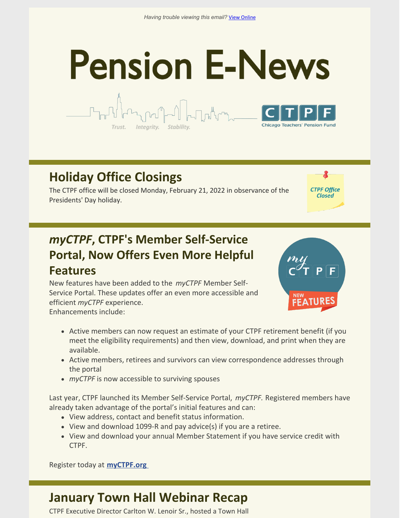# **Pension E-News**



### **Holiday Office Closings**

The CTPF office will be closed Monday, February 21, 2022 in observance of the Presidents' Day holiday.

Integrity. Stability

#### *myCTPF***, CTPF's Member Self-Service Portal, Now Offers Even More Helpful Features**

New features have been added to the *myCTPF* Member Self-Service Portal. These updates offer an even more accessible and efficient *myCTPF* experience. Enhancements include:



**CTPF Office** Closed

- Active members can now request an estimate of your CTPF retirement benefit (if you meet the eligibility requirements) and then view, download, and print when they are available.
- Active members, retirees and survivors can view correspondence addresses through the portal
- *myCTPF* is now accessible to surviving spouses

Last year, CTPF launched its Member Self-Service Portal, *myCTPF.* Registered members have already taken advantage of the portal's initial features and can:

- View address, contact and benefit status information.
- View and download 1099-R and pay advice(s) if you are a retiree.
- View and download your annual Member Statement if you have service credit with CTPF.

Register today at **[myCTPF.org](http://myctpf.org)**

#### **January Town Hall Webinar Recap**

CTPF Executive Director Carlton W. Lenoir Sr., hosted a Town Hall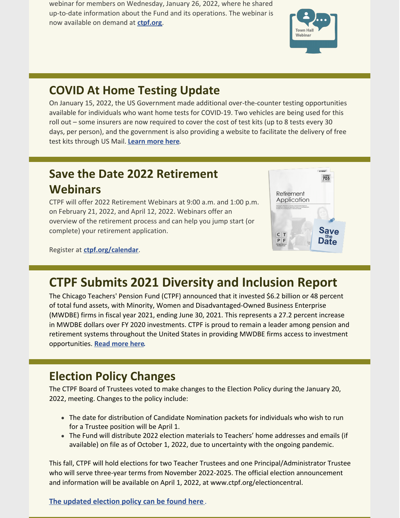webinar for members on Wednesday, January 26, 2022, where he shared up-to-date information about the Fund and its operations. The webinar is now available on demand at **[ctpf.org](https://ctpf.org/)**.



#### **COVID At Home Testing Update**

On January 15, 2022, the US Government made additional over-the-counter testing opportunities available for individuals who want home tests for COVID-19. Two vehicles are being used for this roll out – some insurers are now required to cover the cost of test kits (up to 8 tests every 30 days, per person), and the government is also providing a website to facilitate the delivery of free test kits through US Mail. **[Learn more here](https://ctpf.org/news/covid-home-testing-update)**.

#### **Save the Date 2022 Retirement Webinars**

CTPF will offer 2022 Retirement Webinars at 9:00 a.m. and 1:00 p.m. on February 21, 2022, and April 12, 2022. Webinars offer an overview of the retirement process and can help you jump start (or complete) your retirement application.

Register at **[ctpf.org/calendar](https://ctpf.org/news-calendar/calendar)**.



## **CTPF Submits 2021 Diversity and Inclusion Report**

The Chicago Teachers' Pension Fund (CTPF) announced that it invested \$6.2 billion or 48 percent of total fund assets, with Minority, Women and Disadvantaged-Owned Business Enterprise (MWDBE) firms in fiscal year 2021, ending June 30, 2021. This represents a 27.2 percent increase in MWDBE dollars over FY 2020 investments. CTPF is proud to remain a leader among pension and retirement systems throughout the United States in providing MWDBE firms access to investment opportunities. **[Read more here](https://ctpf.org/news/chicago-teachers-pension-fund-submits-2021-annual-diversity-and-inclusion-report-governor-and).**

### **Election Policy Changes**

The CTPF Board of Trustees voted to make changes to the Election Policy during the January 20, 2022, meeting. Changes to the policy include:

- The date for distribution of Candidate Nomination packets for individuals who wish to run for a Trustee position will be April 1.
- The Fund will distribute 2022 election materials to Teachers' home addresses and emails (if available) on file as of October 1, 2022, due to uncertainty with the ongoing pandemic.

This fall, CTPF will hold elections for two Teacher Trustees and one Principal/Administrator Trustee who will serve three-year terms from November 2022-2025. The official election announcement and information will be available on April 1, 2022, at www.ctpf.org/electioncentral.

**[The updated election policy can be found here](https://www.ctpf.org/sites/files/2022-01/2022 January Election Policy Final.pdf)** .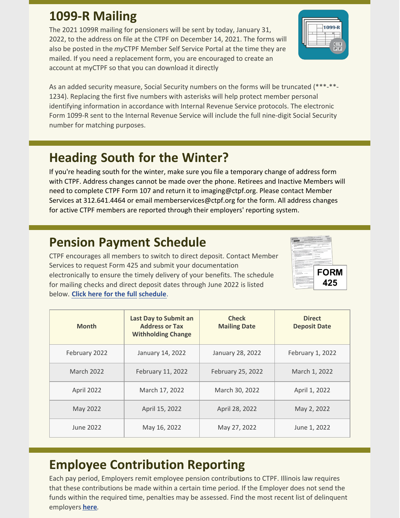#### **1099-R Mailing**

The 2021 1099R mailing for pensioners will be sent by today, January 31, 2022, to the address on file at the CTPF on December 14, 2021. The forms will also be posted in the *my*CTPF Member Self Service Portal at the time they are mailed. If you need a replacement form, you are encouraged to create an account at myCTPF so that you can download it directly

As an added security measure, Social Security numbers on the forms will be truncated (\*\*\*-\*\*- 1234). Replacing the first five numbers with asterisks will help protect member personal identifying information in accordance with Internal Revenue Service protocols. The electronic Form 1099-R sent to the Internal Revenue Service will include the full nine-digit Social Security number for matching purposes.

### **Heading South for the Winter?**

If you're heading south for the winter, make sure you file a temporary change of address form with CTPF. Address changes cannot be made over the phone. Retirees and Inactive Members will [need to complete CTPF Form 107 and return it to imaging@ctpf.org. Please contact Membe](https://ctpf.org/sites/files/2020-10/change_of_address_form_0.pdf)r Services at 312.641.4464 or email memberservices@ctpf.org for the form. All address changes for active CTPF members are reported through their employers' reporting system.

#### **Pension Payment Schedule**

CTPF encourages all members to switch to direct deposit. Contact Member Services to request Form 425 and submit your documentation electronically to ensure the timely delivery of your benefits. The schedule for mailing checks and direct [deposit dates through June 2022 is listed](https://www.ctpf.org/member-resources/retired-members/pension-payments) below. **Click here for the full schedule**.

| <b>Month</b>  | <b>Last Day to Submit an</b><br><b>Address or Tax</b><br><b>Withholding Change</b> | <b>Check</b><br><b>Mailing Date</b> | <b>Direct</b><br><b>Deposit Date</b> |
|---------------|------------------------------------------------------------------------------------|-------------------------------------|--------------------------------------|
| February 2022 | January 14, 2022                                                                   | January 28, 2022                    | February 1, 2022                     |
| March 2022    | February 11, 2022                                                                  | February 25, 2022                   | March 1, 2022                        |
| April 2022    | March 17, 2022                                                                     | March 30, 2022                      | April 1, 2022                        |
| May 2022      | April 15, 2022                                                                     | April 28, 2022                      | May 2, 2022                          |
| June 2022     | May 16, 2022                                                                       | May 27, 2022                        | June 1, 2022                         |

## **Employee Contribution Reporting**

Each pay period, Employers remit employee pension contributions to CTPF. Illinois law requires that these contributions be made within a certain time period. If the Employer does not send the funds within the required time, penalties may be assessed. Find the most recent list of delinquent employers **[here](https://ctpf.org/employer-contribution-reporting)**.



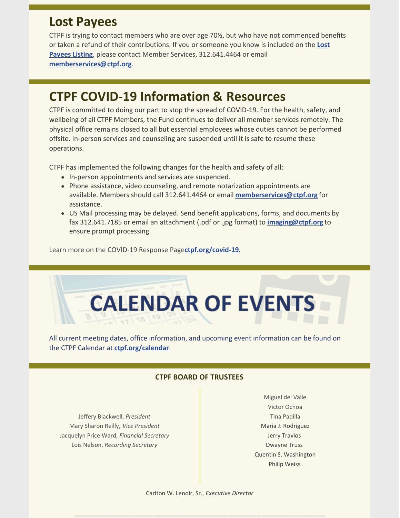#### **Lost Payees**

CTPF is trying to contact members who are over age 70½, but who have not commenced benefits [or taken a refund of their contributions. If you or someone you know is included on the](https://www.ctpf.org/sites/files/2020-10/lost_payees_last_school_worked_website_list_2.pdf) **Lost Payees Listing**, please contact Member Services, 312.641.4464 or email **[memberservices@ctpf.org](mailto:memberservices@ctpf.org)**.

#### **CTPF COVID-19 Information & Resources**

CTPF is committed to doing our part to stop the spread of COVID-19. For the health, safety, and wellbeing of all CTPF Members, the Fund continues to deliver all member services remotely. The physical office remains closed to all but essential employees whose duties cannot be performed offsite. In-person services and counseling are suspended until it is safe to resume these operations.

CTPF has implemented the following changes for the health and safety of all:

- In-person appointments and services are suspended.
- Phone assistance, video counseling, and remote notarization appointments are available. Members should call 312.641.4464 or email **[memberservices@ctpf.org](mailto:memberservices@ctpf.org)** for assistance.
- US Mail processing may be delayed. Send benefit applications, forms, and documents by fax 312.641.7185 or email an attachment (.pdf or .jpg format) to **[imaging@ctpf.org](mailto:imaging@ctpf.org)** to ensure prompt processing.

Learn more on the COVID-19 Response Page**[ctpf.org/covid-19](https://ctpf.org/news-calendar/covid-19).**



All current meeting dates, office information, and upcoming event information can be found on the CTPF Calendar at **[ctpf.org/calendar](https://ctpf.org/news-calendar/calendar)**[.](https://ctpf.org/news-calendar/calendar)

#### **CTPF BOARD OF TRUSTEES**

Jeffery Blackwell, *President* Mary Sharon Reilly, *Vice President* Jacquelyn Price Ward, *Financial Secretary* Lois Nelson, *Recording Secretary*

Miguel del Valle Victor Ochoa Tina Padilla Maria J. Rodriguez Jerry Travlos Dwayne Truss Quentin S. Washington Philip Weiss

\_\_\_\_\_\_\_\_\_\_\_\_\_\_\_\_\_\_\_\_\_\_\_\_\_\_\_\_\_\_\_\_\_\_\_\_\_\_\_\_\_\_\_\_\_\_\_\_\_\_\_\_\_\_\_\_\_\_\_\_\_\_\_